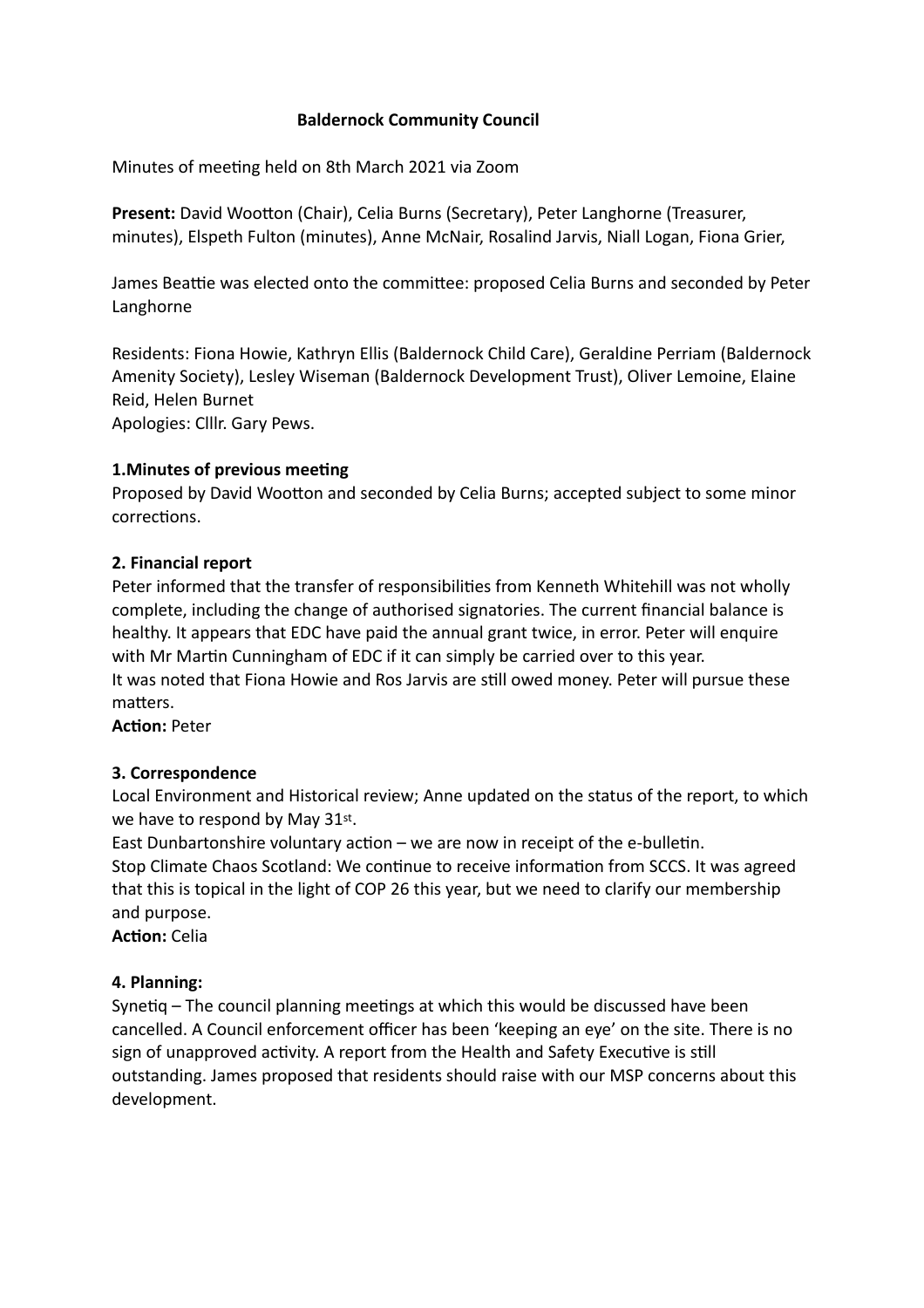## **Baldernock Community Council**

Minutes of meeting held on 8th March 2021 via Zoom

Present: David Wootton (Chair), Celia Burns (Secretary), Peter Langhorne (Treasurer, minutes), Elspeth Fulton (minutes), Anne McNair, Rosalind Jarvis, Niall Logan, Fiona Grier,

James Beattie was elected onto the committee: proposed Celia Burns and seconded by Peter Langhorne

Residents: Fiona Howie, Kathryn Ellis (Baldernock Child Care), Geraldine Perriam (Baldernock Amenity Society), Lesley Wiseman (Baldernock Development Trust), Oliver Lemoine, Elaine Reid, Helen Burnet

Apologies: Clllr. Gary Pews.

#### **1. Minutes of previous meeting**

Proposed by David Wootton and seconded by Celia Burns; accepted subject to some minor corrections.

#### **2. Financial report**

Peter informed that the transfer of responsibilities from Kenneth Whitehill was not wholly complete, including the change of authorised signatories. The current financial balance is healthy. It appears that EDC have paid the annual grant twice, in error. Peter will enquire with Mr Martin Cunningham of EDC if it can simply be carried over to this year. It was noted that Fiona Howie and Ros Jarvis are still owed money. Peter will pursue these matters.

**Action: Peter** 

#### **3. Correspondence**

Local Environment and Historical review; Anne updated on the status of the report, to which we have to respond by May 31st.

East Dunbartonshire voluntary action – we are now in receipt of the e-bulletin. Stop Climate Chaos Scotland: We continue to receive information from SCCS. It was agreed that this is topical in the light of COP 26 this year, but we need to clarify our membership and purpose.

**Action: Celia** 

#### **4. Planning:**

Synetig – The council planning meetings at which this would be discussed have been cancelled. A Council enforcement officer has been 'keeping an eye' on the site. There is no sign of unapproved activity. A report from the Health and Safety Executive is still outstanding. James proposed that residents should raise with our MSP concerns about this development.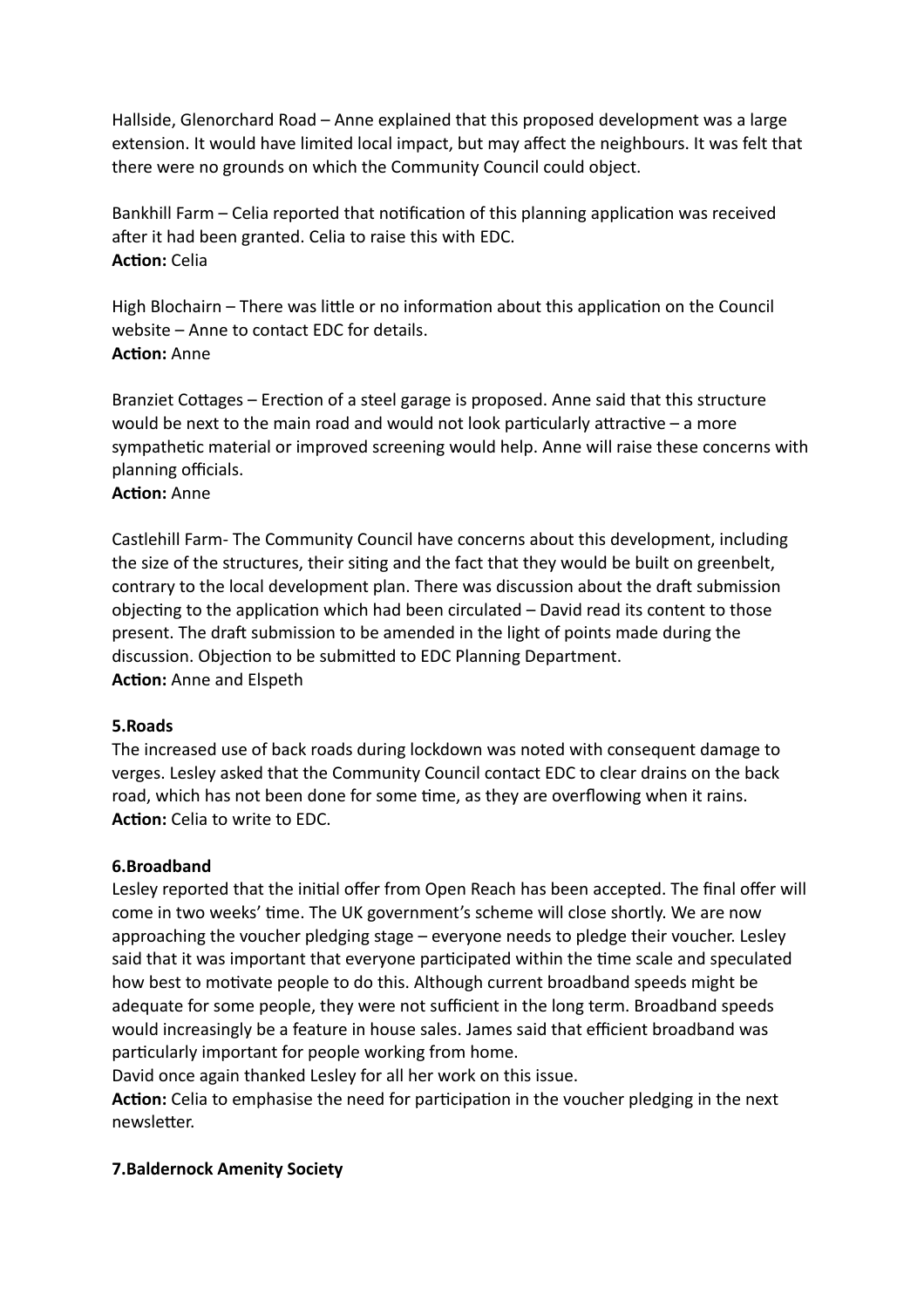Hallside, Glenorchard Road – Anne explained that this proposed development was a large extension. It would have limited local impact, but may affect the neighbours. It was felt that there were no grounds on which the Community Council could object.

Bankhill Farm – Celia reported that notification of this planning application was received after it had been granted. Celia to raise this with EDC. **Action: Celia** 

High Blochairn – There was little or no information about this application on the Council website – Anne to contact EDC for details. **Action: Anne** 

Branziet Cottages – Erection of a steel garage is proposed. Anne said that this structure would be next to the main road and would not look particularly attractive – a more sympathetic material or improved screening would help. Anne will raise these concerns with planning officials.

#### **Action: Anne**

Castlehill Farm- The Community Council have concerns about this development, including the size of the structures, their siting and the fact that they would be built on greenbelt, contrary to the local development plan. There was discussion about the draft submission objecting to the application which had been circulated – David read its content to those present. The draft submission to be amended in the light of points made during the discussion. Objection to be submitted to EDC Planning Department. **Action: Anne and Elspeth** 

## **5.Roads**

The increased use of back roads during lockdown was noted with consequent damage to verges. Lesley asked that the Community Council contact EDC to clear drains on the back road, which has not been done for some time, as they are overflowing when it rains. **Action:** Celia to write to EDC.

#### **6.Broadband**

Lesley reported that the initial offer from Open Reach has been accepted. The final offer will come in two weeks' time. The UK government's scheme will close shortly. We are now approaching the voucher pledging stage – everyone needs to pledge their voucher. Lesley said that it was important that everyone participated within the time scale and speculated how best to motivate people to do this. Although current broadband speeds might be adequate for some people, they were not sufficient in the long term. Broadband speeds would increasingly be a feature in house sales. James said that efficient broadband was particularly important for people working from home.

David once again thanked Lesley for all her work on this issue.

Action: Celia to emphasise the need for participation in the voucher pledging in the next newsletter.

## **7.Baldernock Amenity Society**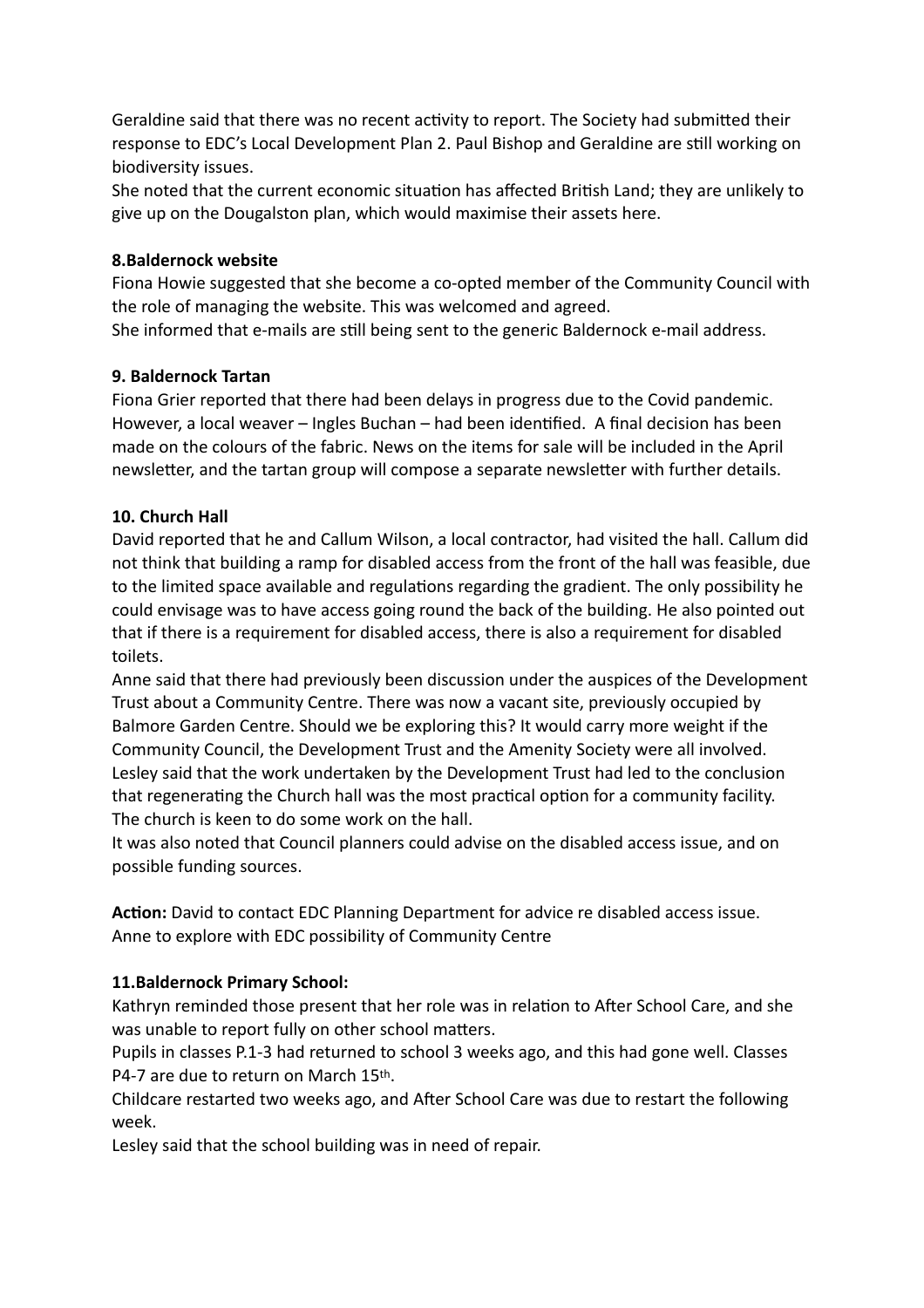Geraldine said that there was no recent activity to report. The Society had submitted their response to EDC's Local Development Plan 2. Paul Bishop and Geraldine are still working on biodiversity issues.

She noted that the current economic situation has affected British Land; they are unlikely to give up on the Dougalston plan, which would maximise their assets here.

## **8.Baldernock website**

Fiona Howie suggested that she become a co-opted member of the Community Council with the role of managing the website. This was welcomed and agreed.

She informed that e-mails are still being sent to the generic Baldernock e-mail address.

## **9. Baldernock Tartan**

Fiona Grier reported that there had been delays in progress due to the Covid pandemic. However, a local weaver  $-$  Ingles Buchan  $-$  had been identified. A final decision has been made on the colours of the fabric. News on the items for sale will be included in the April newsletter, and the tartan group will compose a separate newsletter with further details.

# **10. Church Hall**

David reported that he and Callum Wilson, a local contractor, had visited the hall. Callum did not think that building a ramp for disabled access from the front of the hall was feasible, due to the limited space available and regulations regarding the gradient. The only possibility he could envisage was to have access going round the back of the building. He also pointed out that if there is a requirement for disabled access, there is also a requirement for disabled toilets.

Anne said that there had previously been discussion under the auspices of the Development Trust about a Community Centre. There was now a vacant site, previously occupied by Balmore Garden Centre. Should we be exploring this? It would carry more weight if the Community Council, the Development Trust and the Amenity Society were all involved. Lesley said that the work undertaken by the Development Trust had led to the conclusion that regenerating the Church hall was the most practical option for a community facility. The church is keen to do some work on the hall.

It was also noted that Council planners could advise on the disabled access issue, and on possible funding sources.

Action: David to contact EDC Planning Department for advice re disabled access issue. Anne to explore with EDC possibility of Community Centre

## **11.Baldernock Primary School:**

Kathryn reminded those present that her role was in relation to After School Care, and she was unable to report fully on other school matters.

Pupils in classes P.1-3 had returned to school 3 weeks ago, and this had gone well. Classes P4-7 are due to return on March 15th.

Childcare restarted two weeks ago, and Afer School Care was due to restart the following week.

Lesley said that the school building was in need of repair.